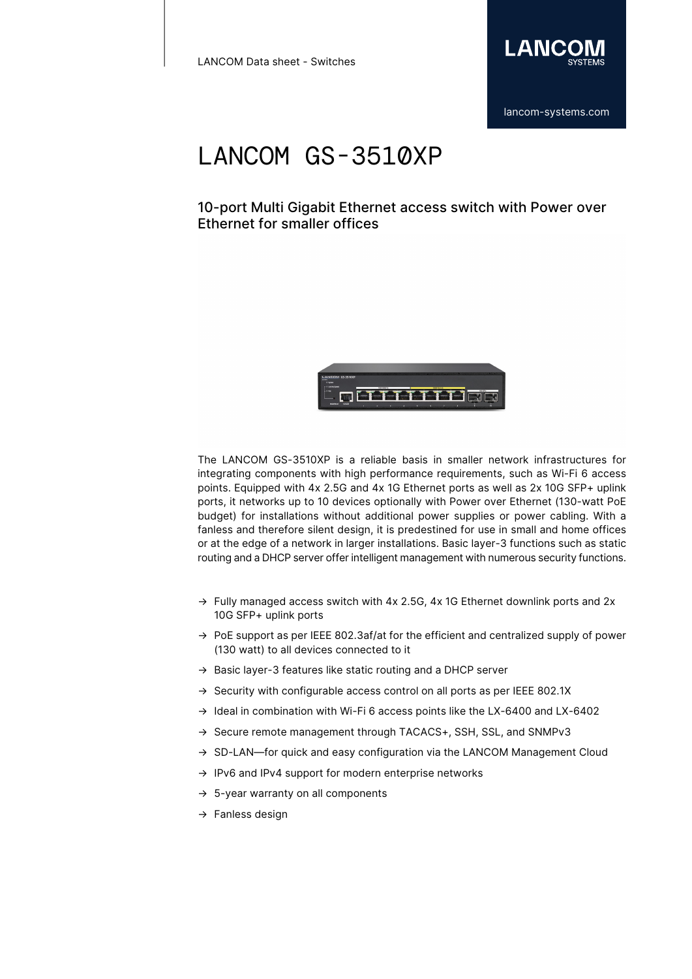

## 10-port Multi Gigabit Ethernet access switch with Power over Ethernet for smaller offices



The LANCOM GS-3510XP is a reliable basis in smaller network infrastructures for integrating components with high performance requirements, such as Wi-Fi 6 access points. Equipped with 4x 2.5G and 4x 1G Ethernet ports as well as 2x 10G SFP+ uplink ports, it networks up to 10 devices optionally with Power over Ethernet (130-watt PoE budget) for installations without additional power supplies or power cabling. With a fanless and therefore silent design, it is predestined for use in small and home offices or at the edge of a network in larger installations. Basic layer-3 functions such as static routing and a DHCP server offer intelligent management with numerous security functions.

- $\rightarrow$  Fully managed access switch with 4x 2.5G, 4x 1G Ethernet downlink ports and 2x 10G SFP+ uplink ports
- $\rightarrow$  PoE support as per IEEE 802.3af/at for the efficient and centralized supply of power (130 watt) to all devices connected to it
- → Basic layer-3 features like static routing and a DHCP server
- $\rightarrow$  Security with configurable access control on all ports as per IEEE 802.1X
- $\rightarrow$  Ideal in combination with Wi-Fi 6 access points like the LX-6400 and LX-6402
- → Secure remote management through TACACS+, SSH, SSL, and SNMPv3
- → SD-LAN—for quick and easy configuration via the LANCOM Management Cloud
- $\rightarrow$  IPv6 and IPv4 support for modern enterprise networks
- $\rightarrow$  5-year warranty on all components
- → Fanless design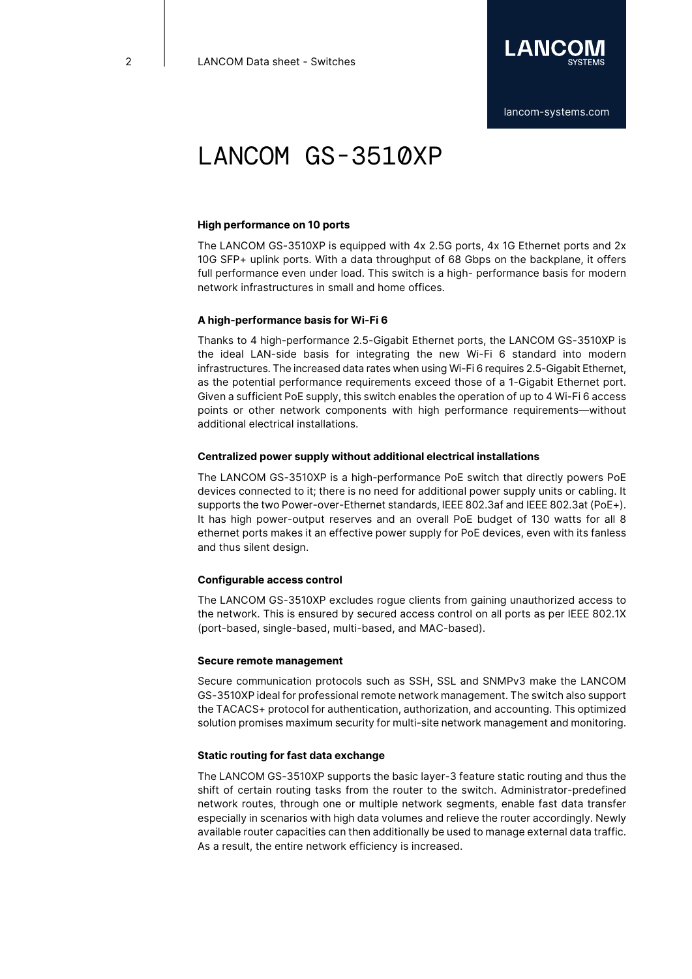

### **High performance on 10 ports**

The LANCOM GS-3510XP is equipped with 4x 2.5G ports, 4x 1G Ethernet ports and 2x 10G SFP+ uplink ports. With a data throughput of 68 Gbps on the backplane, it offers full performance even under load. This switch is a high- performance basis for modern network infrastructures in small and home offices.

### **A high-performance basis for Wi-Fi 6**

Thanks to 4 high-performance 2.5-Gigabit Ethernet ports, the LANCOM GS-3510XP is the ideal LAN-side basis for integrating the new Wi-Fi 6 standard into modern infrastructures. The increased data rates when using Wi-Fi 6 requires 2.5-Gigabit Ethernet, as the potential performance requirements exceed those of a 1-Gigabit Ethernet port. Given a sufficient PoE supply, this switch enables the operation of up to 4 Wi-Fi 6 access points or other network components with high performance requirements—without additional electrical installations.

#### **Centralized power supply without additional electrical installations**

The LANCOM GS-3510XP is a high-performance PoE switch that directly powers PoE devices connected to it; there is no need for additional power supply units or cabling. It supports the two Power-over-Ethernet standards, IEEE 802.3af and IEEE 802.3at (PoE+). It has high power-output reserves and an overall PoE budget of 130 watts for all 8 ethernet ports makes it an effective power supply for PoE devices, even with its fanless and thus silent design.

#### **Configurable access control**

The LANCOM GS-3510XP excludes rogue clients from gaining unauthorized access to the network. This is ensured by secured access control on all ports as per IEEE 802.1X (port-based, single-based, multi-based, and MAC-based).

#### **Secure remote management**

Secure communication protocols such as SSH, SSL and SNMPv3 make the LANCOM GS-3510XP ideal for professional remote network management. The switch also support the TACACS+ protocol for authentication, authorization, and accounting. This optimized solution promises maximum security for multi-site network management and monitoring.

### **Static routing for fast data exchange**

The LANCOM GS-3510XP supports the basic layer-3 feature static routing and thus the shift of certain routing tasks from the router to the switch. Administrator-predefined network routes, through one or multiple network segments, enable fast data transfer especially in scenarios with high data volumes and relieve the router accordingly. Newly available router capacities can then additionally be used to manage external data traffic. As a result, the entire network efficiency is increased.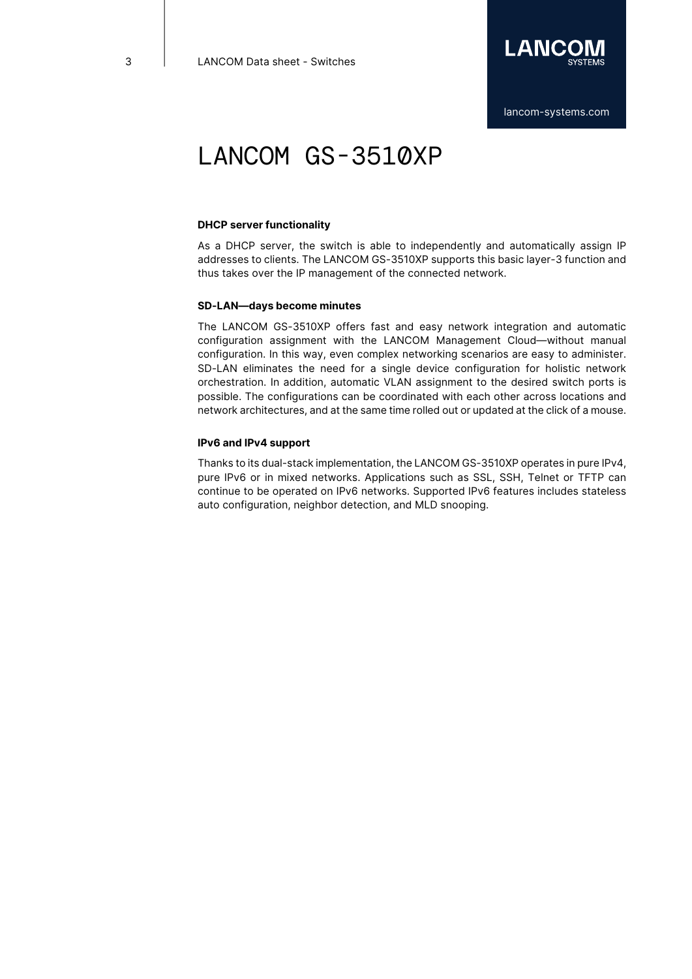

### **DHCP server functionality**

As a DHCP server, the switch is able to independently and automatically assign IP addresses to clients. The LANCOM GS-3510XP supports this basic layer-3 function and thus takes over the IP management of the connected network.

### **SD-LAN—days become minutes**

The LANCOM GS-3510XP offers fast and easy network integration and automatic configuration assignment with the LANCOM Management Cloud—without manual configuration. In this way, even complex networking scenarios are easy to administer. SD-LAN eliminates the need for a single device configuration for holistic network orchestration. In addition, automatic VLAN assignment to the desired switch ports is possible. The configurations can be coordinated with each other across locations and network architectures, and at the same time rolled out or updated at the click of a mouse.

### **IPv6 and IPv4 support**

Thanks to its dual-stack implementation, the LANCOM GS-3510XP operates in pure IPv4, pure IPv6 or in mixed networks. Applications such as SSL, SSH, Telnet or TFTP can continue to be operated on IPv6 networks. Supported IPv6 features includes stateless auto configuration, neighbor detection, and MLD snooping.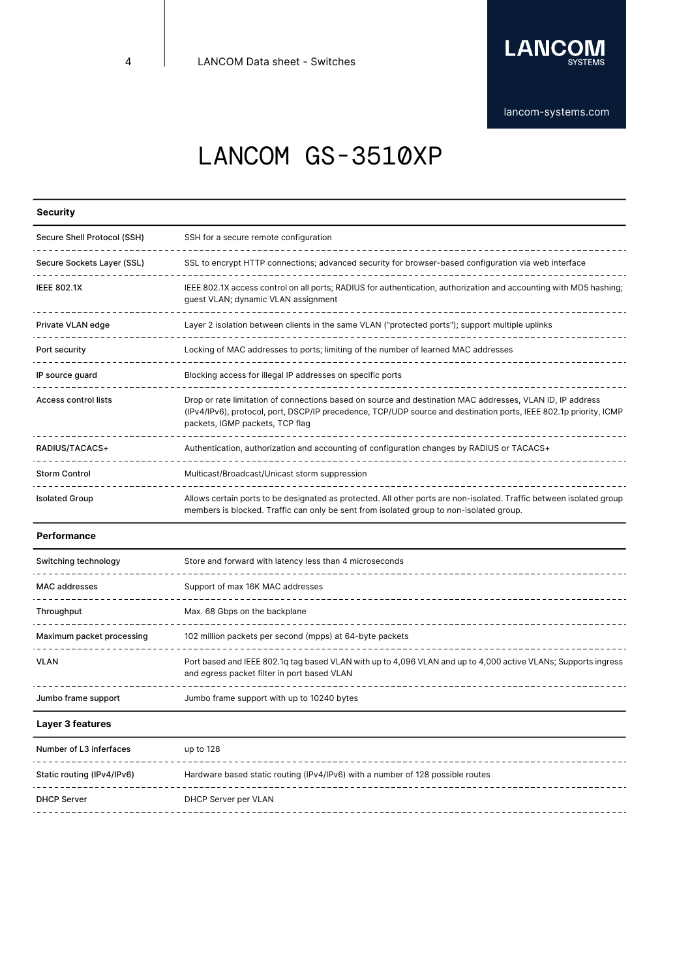

[lancom-systems.com](https://www.lancom-systems.com)

# LANCOM GS-3510XP

## **Security**

| Secure Shell Protocol (SSH) | SSH for a secure remote configuration                                                                                                                                                                                                                             |
|-----------------------------|-------------------------------------------------------------------------------------------------------------------------------------------------------------------------------------------------------------------------------------------------------------------|
| Secure Sockets Layer (SSL)  | SSL to encrypt HTTP connections; advanced security for browser-based configuration via web interface                                                                                                                                                              |
| <b>IEEE 802.1X</b>          | IEEE 802.1X access control on all ports; RADIUS for authentication, authorization and accounting with MD5 hashing;<br>guest VLAN; dynamic VLAN assignment                                                                                                         |
| Private VLAN edge           | Layer 2 isolation between clients in the same VLAN ("protected ports"); support multiple uplinks                                                                                                                                                                  |
| Port security               | Locking of MAC addresses to ports; limiting of the number of learned MAC addresses                                                                                                                                                                                |
| IP source guard             | Blocking access for illegal IP addresses on specific ports                                                                                                                                                                                                        |
| Access control lists        | Drop or rate limitation of connections based on source and destination MAC addresses, VLAN ID, IP address<br>(IPv4/IPv6), protocol, port, DSCP/IP precedence, TCP/UDP source and destination ports, IEEE 802.1p priority, ICMP<br>packets, IGMP packets, TCP flag |
| RADIUS/TACACS+              | Authentication, authorization and accounting of configuration changes by RADIUS or TACACS+                                                                                                                                                                        |
| <b>Storm Control</b>        | Multicast/Broadcast/Unicast storm suppression                                                                                                                                                                                                                     |
| <b>Isolated Group</b>       | Allows certain ports to be designated as protected. All other ports are non-isolated. Traffic between isolated group<br>members is blocked. Traffic can only be sent from isolated group to non-isolated group.                                                   |

### **Performance**

| Switching technology      | Store and forward with latency less than 4 microseconds                                                                                                       |
|---------------------------|---------------------------------------------------------------------------------------------------------------------------------------------------------------|
| <b>MAC</b> addresses      | Support of max 16K MAC addresses                                                                                                                              |
| Throughput                | Max. 68 Gbps on the backplane                                                                                                                                 |
| Maximum packet processing | 102 million packets per second (mpps) at 64-byte packets                                                                                                      |
| VLAN                      | Port based and IEEE 802.1q tag based VLAN with up to 4,096 VLAN and up to 4,000 active VLANs; Supports ingress<br>and egress packet filter in port based VLAN |
| Jumbo frame support       | Jumbo frame support with up to 10240 bytes                                                                                                                    |

### **Layer 3 features**

| Number of L3 inferfaces    | up to 128                                                                      |
|----------------------------|--------------------------------------------------------------------------------|
| Static routing (IPv4/IPv6) | Hardware based static routing (IPv4/IPv6) with a number of 128 possible routes |
| <b>DHCP Server</b>         | DHCP Server per VLAN                                                           |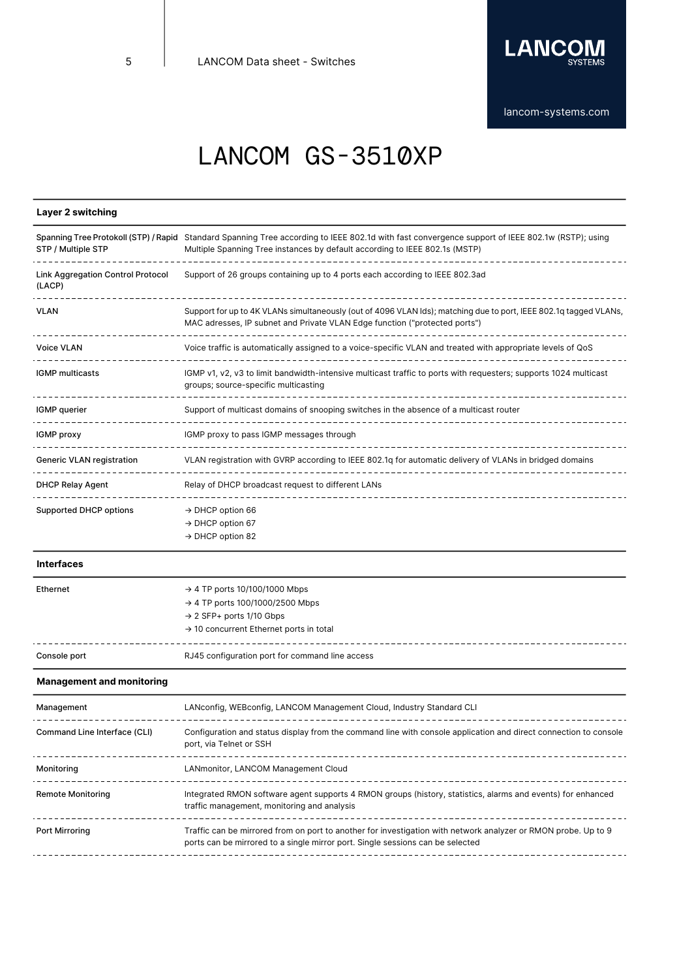

## **Layer 2 switching**

| STP / Multiple STP                                 | Spanning Tree Protokoll (STP) / Rapid Standard Spanning Tree according to IEEE 802.1d with fast convergence support of IEEE 802.1w (RSTP); using<br>Multiple Spanning Tree instances by default according to IEEE 802.1s (MSTP) |
|----------------------------------------------------|---------------------------------------------------------------------------------------------------------------------------------------------------------------------------------------------------------------------------------|
| <b>Link Aggregation Control Protocol</b><br>(LACP) | Support of 26 groups containing up to 4 ports each according to IEEE 802.3ad                                                                                                                                                    |
| <b>VLAN</b>                                        | Support for up to 4K VLANs simultaneously (out of 4096 VLAN lds); matching due to port, IEEE 802.1q tagged VLANs,<br>MAC adresses, IP subnet and Private VLAN Edge function ("protected ports")                                 |
| <b>Voice VLAN</b>                                  | Voice traffic is automatically assigned to a voice-specific VLAN and treated with appropriate levels of QoS                                                                                                                     |
| <b>IGMP</b> multicasts                             | IGMP v1, v2, v3 to limit bandwidth-intensive multicast traffic to ports with requesters; supports 1024 multicast<br>groups; source-specific multicasting                                                                        |
| IGMP querier                                       | Support of multicast domains of snooping switches in the absence of a multicast router                                                                                                                                          |
| IGMP proxy                                         | IGMP proxy to pass IGMP messages through                                                                                                                                                                                        |
| <b>Generic VLAN registration</b>                   | VLAN registration with GVRP according to IEEE 802.1q for automatic delivery of VLANs in bridged domains                                                                                                                         |
| <b>DHCP Relay Agent</b>                            | Relay of DHCP broadcast request to different LANs                                                                                                                                                                               |
| <b>Supported DHCP options</b>                      | $\rightarrow$ DHCP option 66<br>$\rightarrow$ DHCP option 67<br>$\rightarrow$ DHCP option 82                                                                                                                                    |

#### **Interfaces**

| Ethernet     | $\rightarrow$ 4 TP ports 10/100/1000 Mbps<br>$\rightarrow$ 4 TP ports 100/1000/2500 Mbps<br>$\rightarrow$ 2 SFP+ ports 1/10 Gbps<br>$\rightarrow$ 10 concurrent Ethernet ports in total |
|--------------|-----------------------------------------------------------------------------------------------------------------------------------------------------------------------------------------|
| Console port | RJ45 configuration port for command line access                                                                                                                                         |

### **Management and monitoring**

| Management                   | LANconfig, WEBconfig, LANCOM Management Cloud, Industry Standard CLI                                                                                                                             |
|------------------------------|--------------------------------------------------------------------------------------------------------------------------------------------------------------------------------------------------|
| Command Line Interface (CLI) | Configuration and status display from the command line with console application and direct connection to console<br>port, via Telnet or SSH                                                      |
| Monitorina                   | LANmonitor, LANCOM Management Cloud                                                                                                                                                              |
| <b>Remote Monitoring</b>     | Integrated RMON software agent supports 4 RMON groups (history, statistics, alarms and events) for enhanced<br>traffic management, monitoring and analysis                                       |
| Port Mirroring               | Traffic can be mirrored from on port to another for investigation with network analyzer or RMON probe. Up to 9<br>ports can be mirrored to a single mirror port. Single sessions can be selected |
|                              |                                                                                                                                                                                                  |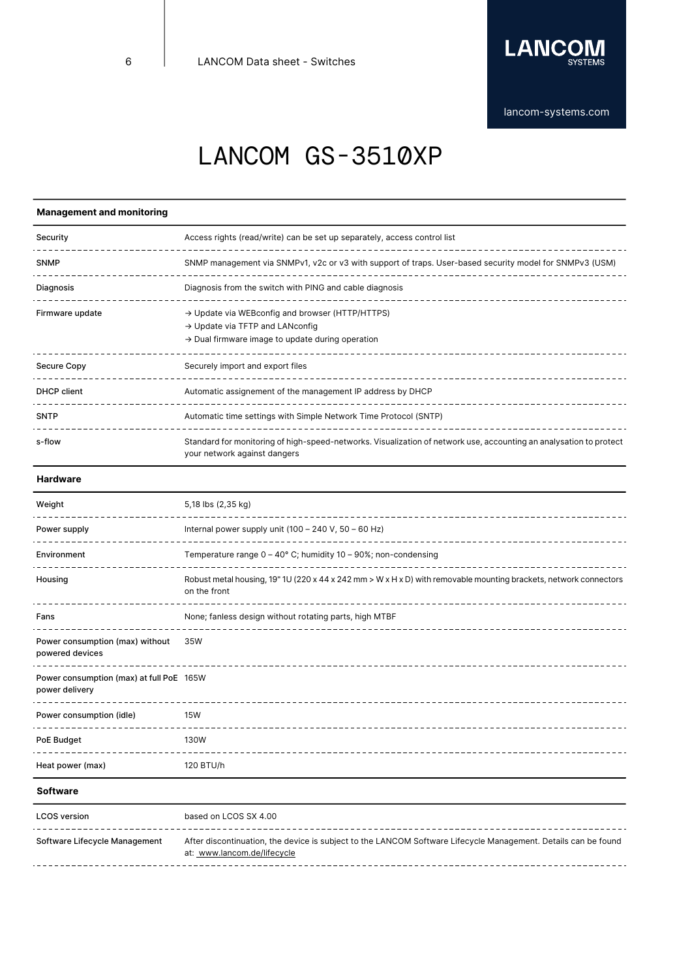

## **Management and monitoring**

| Security        | Access rights (read/write) can be set up separately, access control list                                                                                                    |
|-----------------|-----------------------------------------------------------------------------------------------------------------------------------------------------------------------------|
| <b>SNMP</b>     | SNMP management via SNMPv1, v2c or v3 with support of traps. User-based security model for SNMPv3 (USM)                                                                     |
| Diagnosis       | Diagnosis from the switch with PING and cable diagnosis                                                                                                                     |
| Firmware update | $\rightarrow$ Update via WEB config and browser (HTTP/HTTPS)<br>$\rightarrow$ Update via TFTP and LANconfig<br>$\rightarrow$ Dual firmware image to update during operation |
| Secure Copy     | Securely import and export files<br>---------------------------------                                                                                                       |
| DHCP client     | Automatic assignement of the management IP address by DHCP                                                                                                                  |
| <b>SNTP</b>     | Automatic time settings with Simple Network Time Protocol (SNTP)                                                                                                            |
| s-flow          | Standard for monitoring of high-speed-networks. Visualization of network use, accounting an analysation to protect<br>your network against dangers                          |

### **Hardware**

 $\overline{\phantom{0}}$ 

| Weight                                                     | 5,18 lbs (2,35 kg)                                                                                                                |
|------------------------------------------------------------|-----------------------------------------------------------------------------------------------------------------------------------|
| Power supply                                               | Internal power supply unit $(100 - 240 V, 50 - 60 Hz)$                                                                            |
| Environment                                                | Temperature range $0 - 40^{\circ}$ C; humidity 10 - 90%; non-condensing                                                           |
| Housing                                                    | Robust metal housing, 19" 1U (220 x 44 x 242 mm > W x H x D) with removable mounting brackets, network connectors<br>on the front |
| Fans                                                       | None; fanless design without rotating parts, high MTBF                                                                            |
| Power consumption (max) without<br>powered devices         | 35W                                                                                                                               |
| Power consumption (max) at full PoE 165W<br>power delivery |                                                                                                                                   |
| Power consumption (idle)                                   | 15W                                                                                                                               |
| PoE Budget                                                 | <b>130W</b>                                                                                                                       |
| Heat power (max)                                           | 120 BTU/h                                                                                                                         |
| <b>Software</b>                                            |                                                                                                                                   |

| <b>LCOS</b> version           | based on LCOS SX 4.00                                                                                                                         |
|-------------------------------|-----------------------------------------------------------------------------------------------------------------------------------------------|
| Software Lifecycle Management | After discontinuation, the device is subject to the LANCOM Software Lifecycle Management. Details can be found<br>at: www.lancom.de/lifecycle |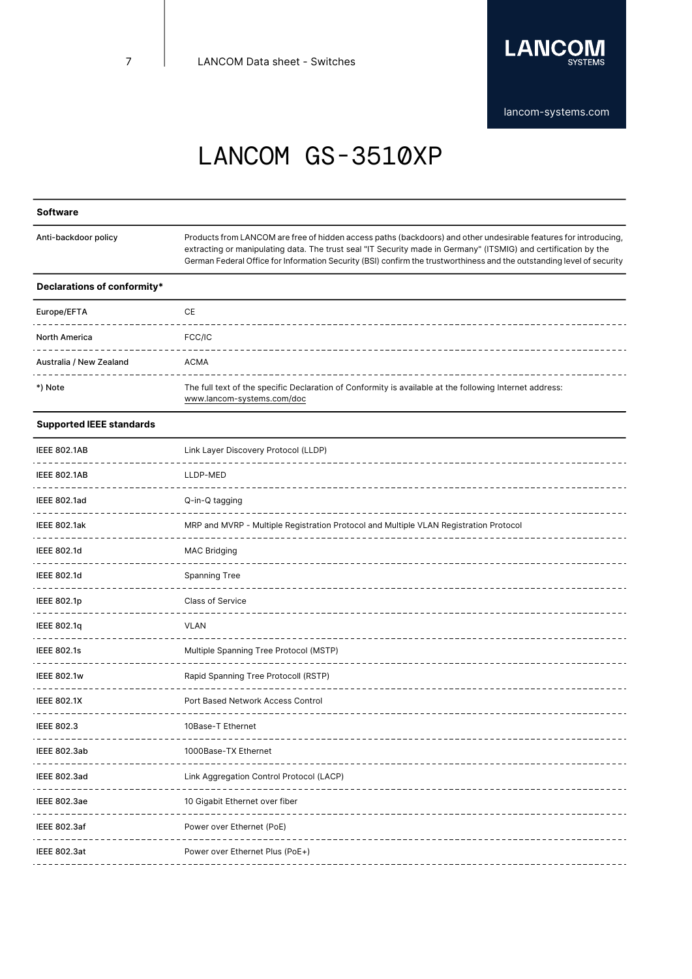

### **Software**

Anti-backdoor policy

Products from LANCOM are free of hidden access paths (backdoors) and other undesirable features for introducing, extracting or manipulating data. The trust seal "IT Security made in Germany" (ITSMIG) and certification by the German Federal Office for Information Security (BSI) confirm the trustworthiness and the outstanding level of security

#### **Declarations of conformity\***

| Europe/EFTA             | СE                                                                                                                                    |
|-------------------------|---------------------------------------------------------------------------------------------------------------------------------------|
| <b>North America</b>    | FCC/IC                                                                                                                                |
| Australia / New Zealand | ACMA                                                                                                                                  |
| *) Note                 | The full text of the specific Declaration of Conformity is available at the following Internet address:<br>www.lancom-systems.com/doc |

### **Supported IEEE standards**

| <b>IEEE 802.1AB</b> | Link Layer Discovery Protocol (LLDP)                                                  |
|---------------------|---------------------------------------------------------------------------------------|
| <b>IEEE 802.1AB</b> | LLDP-MED                                                                              |
| <b>IEEE 802.1ad</b> | Q-in-Q tagging                                                                        |
| IEEE 802.1ak        | MRP and MVRP - Multiple Registration Protocol and Multiple VLAN Registration Protocol |
| <b>IEEE 802.1d</b>  | <b>MAC Bridging</b>                                                                   |
| <b>IEEE 802.1d</b>  | <b>Spanning Tree</b>                                                                  |
| <b>IEEE 802.1p</b>  | Class of Service                                                                      |
| IEEE 802.1q         | <b>VLAN</b>                                                                           |
| <b>IEEE 802.1s</b>  | Multiple Spanning Tree Protocol (MSTP)                                                |
| <b>IEEE 802.1w</b>  | Rapid Spanning Tree Protocoll (RSTP)                                                  |
| <b>IEEE 802.1X</b>  | Port Based Network Access Control                                                     |
| <b>IEEE 802.3</b>   | 10Base-T Ethernet                                                                     |
| <b>IEEE 802.3ab</b> | 1000Base-TX Ethernet                                                                  |
| <b>IEEE 802.3ad</b> | Link Aggregation Control Protocol (LACP)                                              |
| <b>IEEE 802.3ae</b> | 10 Gigabit Ethernet over fiber                                                        |
| IEEE 802.3af        | Power over Ethernet (PoE)                                                             |
| <b>IEEE 802.3at</b> | Power over Ethernet Plus (PoE+)                                                       |
|                     |                                                                                       |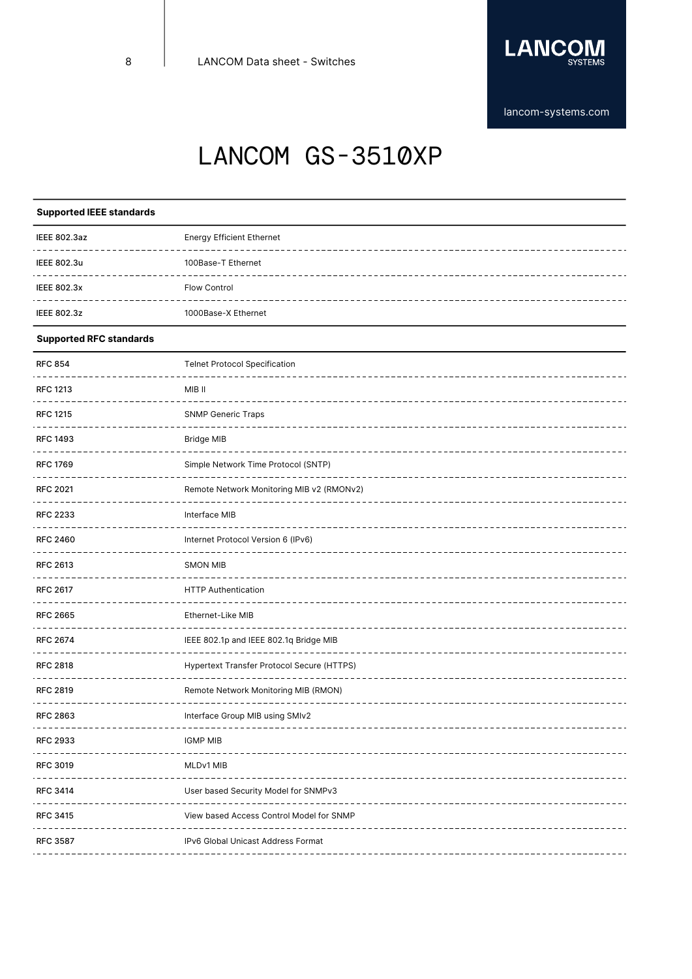

## **Supported IEEE standards**

| IEEE 802.3az       | <b>Energy Efficient Ethernet</b> |
|--------------------|----------------------------------|
| IEEE 802.3u        | 100Base-T Ethernet               |
| <b>IEEE 802.3x</b> | Flow Control                     |
| <b>IEEE 802.3z</b> | 1000Base-X Ethernet              |

### **Supported RFC standards**

| <b>RFC 854</b>  | <b>Telnet Protocol Specification</b>       |  |  |  |
|-----------------|--------------------------------------------|--|--|--|
| <b>RFC 1213</b> | MIB II                                     |  |  |  |
| <b>RFC 1215</b> | <b>SNMP Generic Traps</b>                  |  |  |  |
| <b>RFC 1493</b> | <b>Bridge MIB</b>                          |  |  |  |
| <b>RFC 1769</b> | Simple Network Time Protocol (SNTP)        |  |  |  |
| <b>RFC 2021</b> | Remote Network Monitoring MIB v2 (RMONv2)  |  |  |  |
| <b>RFC 2233</b> | Interface MIB                              |  |  |  |
| <b>RFC 2460</b> | Internet Protocol Version 6 (IPv6)         |  |  |  |
| <b>RFC 2613</b> | <b>SMON MIB</b>                            |  |  |  |
| <b>RFC 2617</b> | <b>HTTP Authentication</b>                 |  |  |  |
| <b>RFC 2665</b> | Ethernet-Like MIB                          |  |  |  |
| <b>RFC 2674</b> | IEEE 802.1p and IEEE 802.1q Bridge MIB     |  |  |  |
| <b>RFC 2818</b> | Hypertext Transfer Protocol Secure (HTTPS) |  |  |  |
| <b>RFC 2819</b> | Remote Network Monitoring MIB (RMON)       |  |  |  |
| <b>RFC 2863</b> | Interface Group MIB using SMIv2            |  |  |  |
| <b>RFC 2933</b> | <b>IGMP MIB</b>                            |  |  |  |
| <b>RFC 3019</b> | MLDv1 MIB                                  |  |  |  |
| <b>RFC 3414</b> | User based Security Model for SNMPv3       |  |  |  |
| <b>RFC 3415</b> | View based Access Control Model for SNMP   |  |  |  |
| <b>RFC 3587</b> | IPv6 Global Unicast Address Format         |  |  |  |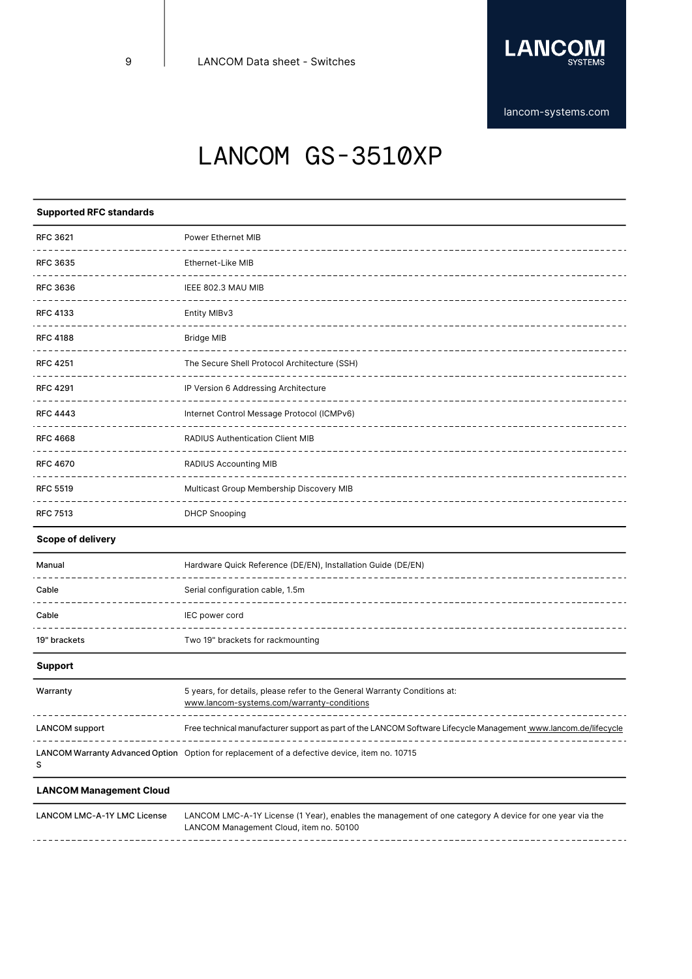

[lancom-systems.com](https://www.lancom-systems.com)

# LANCOM GS-3510XP

## **Supported RFC standards**

| <b>RFC 3621</b><br>----------------- | Power Ethernet MIB                           |  |  |  |
|--------------------------------------|----------------------------------------------|--|--|--|
| <b>RFC 3635</b>                      | Ethernet-Like MIB                            |  |  |  |
| <b>RFC 3636</b>                      | IEEE 802.3 MAU MIB                           |  |  |  |
| <b>RFC 4133</b>                      | Entity MIBv3                                 |  |  |  |
| <b>RFC 4188</b>                      | <b>Bridge MIB</b>                            |  |  |  |
| <b>RFC 4251</b>                      | The Secure Shell Protocol Architecture (SSH) |  |  |  |
| <b>RFC 4291</b>                      | IP Version 6 Addressing Architecture         |  |  |  |
| <b>RFC 4443</b>                      | Internet Control Message Protocol (ICMPv6)   |  |  |  |
| <b>RFC 4668</b>                      | <b>RADIUS Authentication Client MIB</b>      |  |  |  |
| <b>RFC 4670</b>                      | RADIUS Accounting MIB                        |  |  |  |
| <b>RFC 5519</b>                      | Multicast Group Membership Discovery MIB     |  |  |  |
| <b>RFC 7513</b>                      | <b>DHCP Snooping</b>                         |  |  |  |

## **Scope of delivery**

| Manual       | Hardware Quick Reference (DE/EN), Installation Guide (DE/EN) |  |  |
|--------------|--------------------------------------------------------------|--|--|
| Cable        | Serial configuration cable, 1.5m                             |  |  |
| Cable        | IEC power cord                                               |  |  |
| 19" brackets | Two 19" brackets for rackmounting                            |  |  |

### **Support**

| Warranty              | 5 years, for details, please refer to the General Warranty Conditions at:<br>www.lancom-systems.com/warranty-conditions |
|-----------------------|-------------------------------------------------------------------------------------------------------------------------|
| <b>LANCOM</b> support | Free technical manufacturer support as part of the LANCOM Software Lifecycle Management www.lancom.de/lifecycle         |
|                       | LANCOM Warranty Advanced Option Option for replacement of a defective device, item no. 10715                            |

### **LANCOM Management Cloud**

LANCOM LMC-A-1Y LMC License LANCOM LMC-A-1Y License (1 Year), enables the management of one category A device for one year via the LANCOM Management Cloud, item no. 50100 -------------------------------------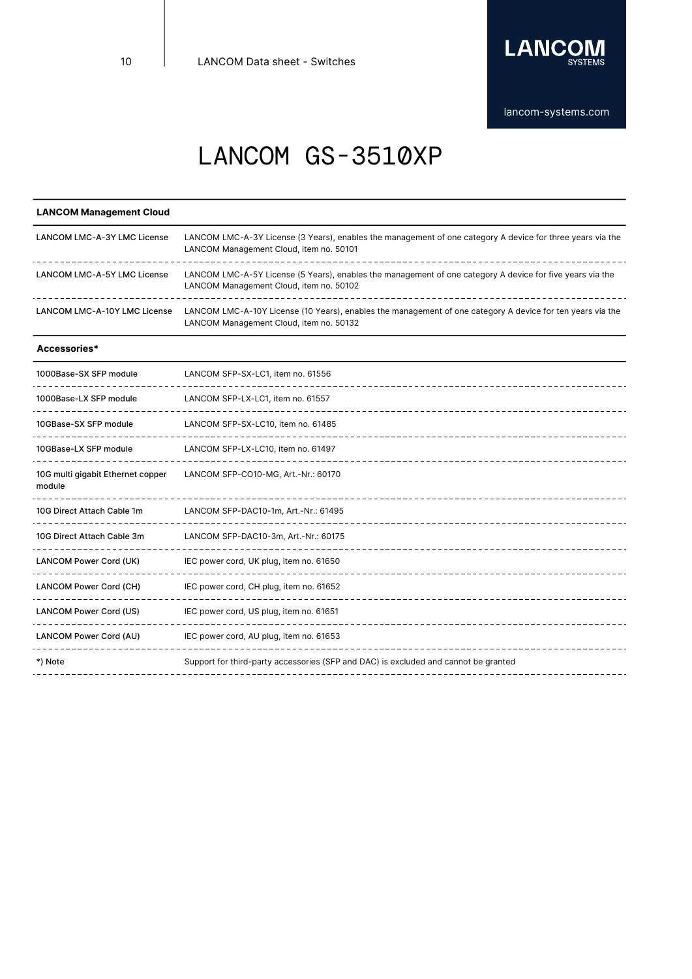

#### **LANCOM Management Cloud** LANCOM LMC-A-3Y LMC License LANCOM LMC-A-3Y License (3 Years), enables the management of one category A device for three years via the LANCOM Management Cloud, item no. 50101 LANCOM LMC-A-5Y LMC License LANCOM LMC-A-5Y License (5 Years), enables the management of one category A device for five years via the LANCOM Management Cloud, item no. 50102 LANCOM LMC-A-10Y LMC License LANCOM LMC-A-10Y License (10 Years), enables the management of one category A device for ten years via the LANCOM Management Cloud, item no. 50132 **Accessories\*** 1000Base-SX SFP module LANCOM SFP-SX-LC1, item no. 61556 1000Base-LX SFP module LANCOM SFP-LX-LC1, item no. 61557 ------------------------10GBase-SX SFP module LANCOM SFP-SX-LC10, item no. 61485 10GBase-LX SFP module LANCOM SFP-LX-LC10, item no. 61497 10G multi gigabit Ethernet copper LANCOM SFP-CO10-MG, Art.-Nr.: 60170 module 10G Direct Attach Cable 1m LANCOM SFP-DAC10-1m, Art.-Nr.: 61495 10G Direct Attach Cable 3m LANCOM SFP-DAC10-3m, Art.-Nr.: 60175 LANCOM Power Cord (UK) IEC power cord, UK plug, item no. 61650 <u>\_\_\_\_\_\_\_\_\_</u> LANCOM Power Cord (CH) IEC power cord, CH plug, item no. 61652 LANCOM Power Cord (US) IEC power cord, US plug, item no. 61651 LANCOM Power Cord (AU) IEC power cord, AU plug, item no. 61653 . . . . . . . . . . . . . . . . . . \*) Note Support for third-party accessories (SFP and DAC) is excluded and cannot be granted